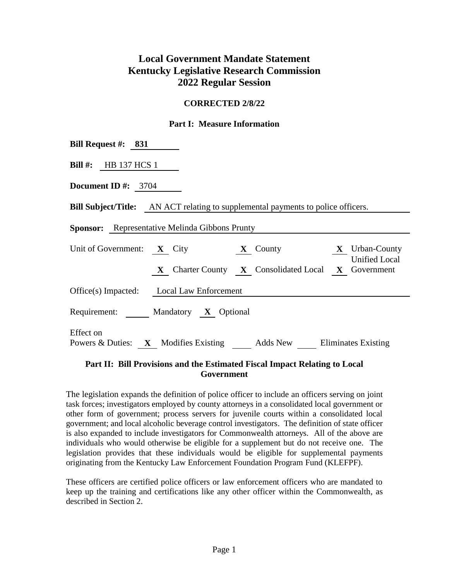# **Local Government Mandate Statement Kentucky Legislative Research Commission 2022 Regular Session**

#### **CORRECTED 2/8/22**

#### **Part I: Measure Information**

| Bill Request #: $831$                                 |                                                                                         |                      |
|-------------------------------------------------------|-----------------------------------------------------------------------------------------|----------------------|
| Bill $#$ : HB 137 HCS 1                               |                                                                                         |                      |
| Document ID #: $3704$                                 |                                                                                         |                      |
|                                                       | <b>Bill Subject/Title:</b> AN ACT relating to supplemental payments to police officers. |                      |
| <b>Sponsor:</b> Representative Melinda Gibbons Prunty |                                                                                         |                      |
|                                                       | Unit of Government: $X$ City $X$ County $X$ Vrban-County                                | <b>Unified Local</b> |
|                                                       | X Charter County X Consolidated Local X Government                                      |                      |
| Office(s) Impacted: Local Law Enforcement             |                                                                                         |                      |
| Requirement: Mandatory X Optional                     |                                                                                         |                      |
| Effect on                                             | Powers & Duties: X Modifies Existing Adds New Eliminates Existing                       |                      |

## **Part II: Bill Provisions and the Estimated Fiscal Impact Relating to Local Government**

The legislation expands the definition of police officer to include an officers serving on joint task forces; investigators employed by county attorneys in a consolidated local government or other form of government; process servers for juvenile courts within a consolidated local government; and local alcoholic beverage control investigators. The definition of state officer is also expanded to include investigators for Commonwealth attorneys. All of the above are individuals who would otherwise be eligible for a supplement but do not receive one. The legislation provides that these individuals would be eligible for supplemental payments originating from the Kentucky Law Enforcement Foundation Program Fund (KLEFPF).

These officers are certified police officers or law enforcement officers who are mandated to keep up the training and certifications like any other officer within the Commonwealth, as described in Section 2.